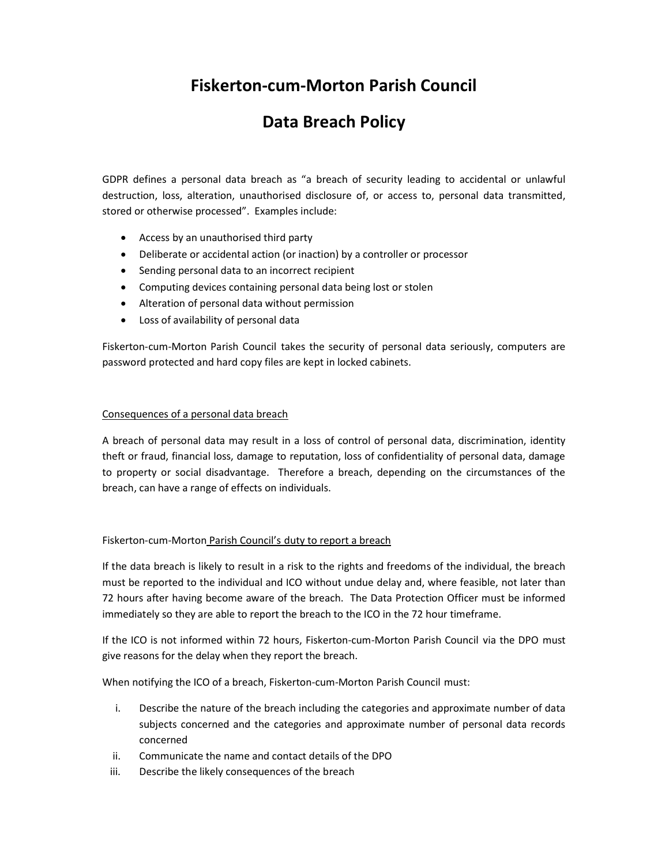# Fiskerton-cum-Morton Parish Council

## Data Breach Policy

GDPR defines a personal data breach as "a breach of security leading to accidental or unlawful destruction, loss, alteration, unauthorised disclosure of, or access to, personal data transmitted, stored or otherwise processed". Examples include:

- Access by an unauthorised third party
- Deliberate or accidental action (or inaction) by a controller or processor
- Sending personal data to an incorrect recipient
- Computing devices containing personal data being lost or stolen
- Alteration of personal data without permission
- Loss of availability of personal data

Fiskerton-cum-Morton Parish Council takes the security of personal data seriously, computers are password protected and hard copy files are kept in locked cabinets.

#### Consequences of a personal data breach

A breach of personal data may result in a loss of control of personal data, discrimination, identity theft or fraud, financial loss, damage to reputation, loss of confidentiality of personal data, damage to property or social disadvantage. Therefore a breach, depending on the circumstances of the breach, can have a range of effects on individuals.

#### Fiskerton-cum-Morton Parish Council's duty to report a breach

If the data breach is likely to result in a risk to the rights and freedoms of the individual, the breach must be reported to the individual and ICO without undue delay and, where feasible, not later than 72 hours after having become aware of the breach. The Data Protection Officer must be informed immediately so they are able to report the breach to the ICO in the 72 hour timeframe.

If the ICO is not informed within 72 hours, Fiskerton-cum-Morton Parish Council via the DPO must give reasons for the delay when they report the breach.

When notifying the ICO of a breach, Fiskerton-cum-Morton Parish Council must:

- i. Describe the nature of the breach including the categories and approximate number of data subjects concerned and the categories and approximate number of personal data records concerned
- ii. Communicate the name and contact details of the DPO
- iii. Describe the likely consequences of the breach